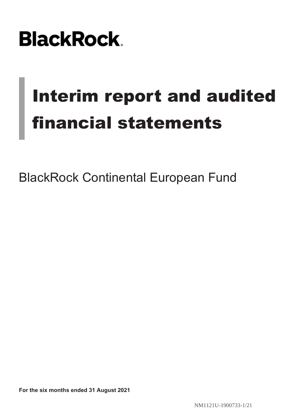# **BlackRock**

# Interim report and audited financial statements

BlackRock Continental European Fund

**For the six months ended 31 August 2021**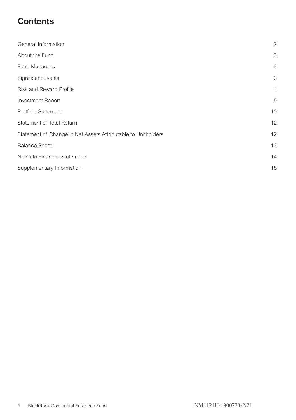## **Contents**

| General Information                                           | $\mathbf{2}$   |
|---------------------------------------------------------------|----------------|
| About the Fund                                                | 3              |
| <b>Fund Managers</b>                                          | 3              |
| <b>Significant Events</b>                                     | 3              |
| <b>Risk and Reward Profile</b>                                | $\overline{4}$ |
| <b>Investment Report</b>                                      | 5              |
| Portfolio Statement                                           | 10             |
| Statement of Total Return                                     | 12             |
| Statement of Change in Net Assets Attributable to Unitholders | 12             |
| <b>Balance Sheet</b>                                          | 13             |
| Notes to Financial Statements                                 | 14             |
| Supplementary Information                                     | 15             |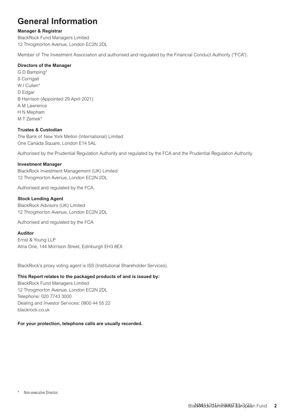## <span id="page-2-0"></span>**General Information**

#### **Manager & Registrar**

BlackRock Fund Managers Limited 12 Throgmorton Avenue, London EC2N 2DL

Member of The Investment Association and authorised and regulated by the Financial Conduct Authority ("FCA").

#### **Directors of the Manager**

G D Bamping\* S Corrigall W I Cullen<sup>\*</sup> D Edgar B Harrison (Appointed 29 April 2021) A M Lawrence H N Mepham M T Zemek\*

#### **Trustee & Custodian**

The Bank of New York Mellon (International) Limited One Canada Square, London E14 5AL

Authorised by the Prudential Regulation Authority and regulated by the FCA and the Prudential Regulation Authority.

#### **Investment Manager**

BlackRock Investment Management (UK) Limited 12 Throgmorton Avenue, London EC2N 2DL

Authorised and regulated by the FCA.

#### **Stock Lending Agent**

BlackRock Advisors (UK) Limited 12 Throgmorton Avenue, London EC2N 2DL

Authorised and regulated by the FCA

#### **Auditor**

Ernst & Young LLP Atria One, 144 Morrison Street, Edinburgh EH3 8EX

BlackRock's proxy voting agent is ISS (Institutional Shareholder Services).

#### **This Report relates to the packaged products of and is issued by:**

BlackRock Fund Managers Limited 12 Throgmorton Avenue, London EC2N 2DL Telephone: 020 7743 3000 Dealing and Investor Services: 0800 44 55 22 blackrock.co.uk

#### **For your protection, telephone calls are usually recorded.**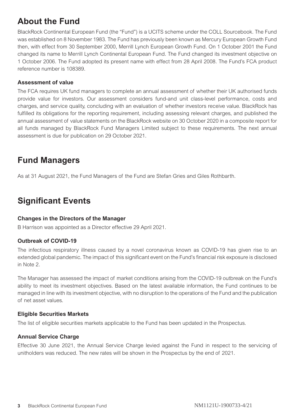## <span id="page-3-0"></span>**About the Fund**

BlackRock Continental European Fund (the "Fund") is a UCITS scheme under the COLL Sourcebook. The Fund was established on 8 November 1983. The Fund has previously been known as Mercury European Growth Fund then, with effect from 30 September 2000, Merrill Lynch European Growth Fund. On 1 October 2001 the Fund changed its name to Merrill Lynch Continental European Fund. The Fund changed its investment objective on 1 October 2006. The Fund adopted its present name with effect from 28 April 2008. The Fund's FCA product reference number is 108389.

#### **Assessment of value**

The FCA requires UK fund managers to complete an annual assessment of whether their UK authorised funds provide value for investors. Our assessment considers fund-and unit class-level performance, costs and charges, and service quality, concluding with an evaluation of whether investors receive value. BlackRock has fulfilled its obligations for the reporting requirement, including assessing relevant charges, and published the annual assessment of value statements on the BlackRock website on 30 October 2020 in a composite report for all funds managed by BlackRock Fund Managers Limited subject to these requirements. The next annual assessment is due for publication on 29 October 2021.

## **Fund Managers**

As at 31 August 2021, the Fund Managers of the Fund are Stefan Gries and Giles Rothbarth.

## **Significant Events**

#### **Changes in the Directors of the Manager**

B Harrison was appointed as a Director effective 29 April 2021.

#### **Outbreak of COVID-19**

The infectious respiratory illness caused by a novel coronavirus known as COVID-19 has given rise to an extended global pandemic. The impact of this significant event on the Fund's financial risk exposure is disclosed in Note 2.

The Manager has assessed the impact of market conditions arising from the COVID-19 outbreak on the Fund's ability to meet its investment objectives. Based on the latest available information, the Fund continues to be managed in line with its investment objective, with no disruption to the operations of the Fund and the publication of net asset values.

#### **Eligible Securities Markets**

The list of eligible securities markets applicable to the Fund has been updated in the Prospectus.

#### **Annual Service Charge**

Effective 30 June 2021, the Annual Service Charge levied against the Fund in respect to the servicing of unitholders was reduced. The new rates will be shown in the Prospectus by the end of 2021.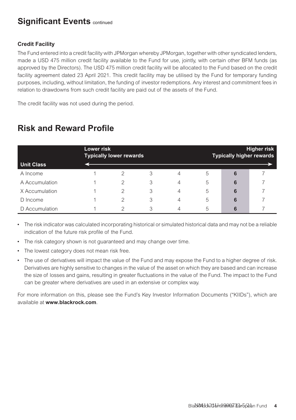## <span id="page-4-0"></span>**Significant Events continued**

#### **Credit Facility**

The Fund entered into a credit facility with JPMorgan whereby JPMorgan, together with other syndicated lenders, made a USD 475 million credit facility available to the Fund for use, jointly, with certain other BFM funds (as approved by the Directors). The USD 475 million credit facility will be allocated to the Fund based on the credit facility agreement dated 23 April 2021. This credit facility may be utilised by the Fund for temporary funding purposes, including, without limitation, the funding of investor redemptions. Any interest and commitment fees in relation to drawdowns from such credit facility are paid out of the assets of the Fund.

The credit facility was not used during the period.

| <b>Unit Class</b> | Lower risk | <b>Typically lower rewards</b> |   |   |   | <b>Typically higher rewards</b> | <b>Higher risk</b> |
|-------------------|------------|--------------------------------|---|---|---|---------------------------------|--------------------|
| A Income          |            | っ                              | 3 | 4 | 5 | 6                               |                    |
| A Accumulation    |            | っ                              | 3 | 4 | 5 | 6                               |                    |
| X Accumulation    |            | 2                              | 3 | 4 | 5 | 6                               |                    |
| D Income          |            | っ                              | 3 | Δ | 5 | 6                               |                    |
| D Accumulation    |            | ◠                              | 3 | 4 | 5 | 6                               |                    |

## **Risk and Reward Profile**

• The risk indicator was calculated incorporating historical or simulated historical data and may not be a reliable indication of the future risk profile of the Fund.

- The risk category shown is not guaranteed and may change over time.
- The lowest category does not mean risk free.
- The use of derivatives will impact the value of the Fund and may expose the Fund to a higher degree of risk. Derivatives are highly sensitive to changes in the value of the asset on which they are based and can increase the size of losses and gains, resulting in greater fluctuations in the value of the Fund. The impact to the Fund can be greater where derivatives are used in an extensive or complex way.

For more information on this, please see the Fund's Key Investor Information Documents ("KIIDs"), which are available at **www.blackrock.com**.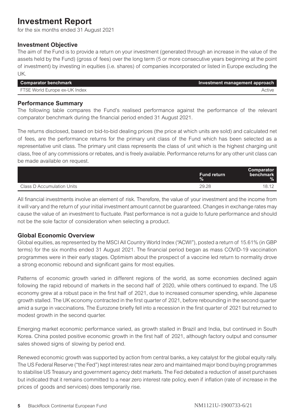## <span id="page-5-0"></span>**Investment Report**

for the six months ended 31 August 2021

#### **Investment Objective**

The aim of the Fund is to provide a return on your investment (generated through an increase in the value of the assets held by the Fund) (gross of fees) over the long term (5 or more consecutive years beginning at the point of investment) by investing in equities (i.e. shares) of companies incorporated or listed in Europe excluding the UK.

| Comparator benchmark          | Investment management approach |
|-------------------------------|--------------------------------|
| FTSE World Europe ex-UK Index | Active                         |

#### **Performance Summary**

The following table compares the Fund's realised performance against the performance of the relevant comparator benchmark during the financial period ended 31 August 2021.

The returns disclosed, based on bid-to-bid dealing prices (the price at which units are sold) and calculated net of fees, are the performance returns for the primary unit class of the Fund which has been selected as a representative unit class. The primary unit class represents the class of unit which is the highest charging unit class, free of any commissions or rebates, and is freely available. Performance returns for any other unit class can be made available on request.

|                            | <b>Fund return</b><br>$\%$ | Comparator<br><b>benchmark</b><br>$\%$ |
|----------------------------|----------------------------|----------------------------------------|
| Class D Accumulation Units | 29.28                      | 18.12                                  |

All financial investments involve an element of risk. Therefore, the value of your investment and the income from it will vary and the return of your initial investment amount cannot be guaranteed. Changes in exchange rates may cause the value of an investment to fluctuate. Past performance is not a guide to future performance and should not be the sole factor of consideration when selecting a product.

#### **Global Economic Overview**

Global equities, as represented by the MSCI All Country World Index ("ACWI"), posted a return of 15.61% (in GBP terms) for the six months ended 31 August 2021. The financial period began as mass COVID-19 vaccination programmes were in their early stages. Optimism about the prospect of a vaccine led return to normality drove a strong economic rebound and significant gains for most equities.

Patterns of economic growth varied in different regions of the world, as some economies declined again following the rapid rebound of markets in the second half of 2020, while others continued to expand. The US economy grew at a robust pace in the first half of 2021, due to increased consumer spending, while Japanese growth stalled. The UK economy contracted in the first quarter of 2021, before rebounding in the second quarter amid a surge in vaccinations. The Eurozone briefly fell into a recession in the first quarter of 2021 but returned to modest growth in the second quarter.

Emerging market economic performance varied, as growth stalled in Brazil and India, but continued in South Korea. China posted positive economic growth in the first half of 2021, although factory output and consumer sales showed signs of slowing by period end.

Renewed economic growth was supported by action from central banks, a key catalyst for the global equity rally. The US Federal Reserve ("the Fed") kept interest rates near zero and maintained major bond buying programmes to stabilise US Treasury and government agency debt markets. The Fed debated a reduction of asset purchases but indicated that it remains committed to a near zero interest rate policy, even if inflation (rate of increase in the prices of goods and services) does temporarily rise.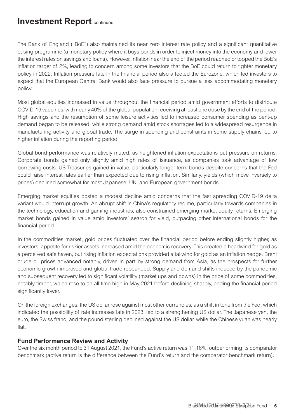### **Investment Report** continued

The Bank of England ("BoE") also maintained its near zero interest rate policy and a significant quantitative easing programme (a monetary policy where it buys bonds in order to inject money into the economy and lower the interest rates on savings and loans). However, inflation near the end of the period reached or topped the BoE's inflation target of 2%, leading to concern among some investors that the BoE could return to tighter monetary policy in 2022. Inflation pressure late in the financial period also affected the Eurozone, which led investors to expect that the European Central Bank would also face pressure to pursue a less accommodating monetary policy.

Most global equities increased in value throughout the financial period amid government efforts to distribute COVID-19 vaccines, with nearly 40% of the global population receiving at least one dose by the end of the period. High savings and the resumption of some leisure activities led to increased consumer spending as pent-up demand began to be released, while strong demand amid stock shortages led to a widespread resurgence in manufacturing activity and global trade. The surge in spending and constraints in some supply chains led to higher inflation during the reporting period.

Global bond performance was relatively muted, as heightened inflation expectations put pressure on returns. Corporate bonds gained only slightly amid high rates of issuance, as companies took advantage of low borrowing costs. US Treasuries gained in value, particularly longer-term bonds despite concerns that the Fed could raise interest rates earlier than expected due to rising inflation. Similarly, yields (which move inversely to prices) declined somewhat for most Japanese, UK, and European government bonds.

Emerging market equities posted a modest decline amid concerns that the fast spreading COVID-19 delta variant would interrupt growth. An abrupt shift in China's regulatory regime, particularly towards companies in the technology, education and gaming industries, also constrained emerging market equity returns. Emerging market bonds gained in value amid investors' search for yield, outpacing other international bonds for the financial period.

In the commodities market, gold prices fluctuated over the financial period before ending slightly higher, as investors' appetite for riskier assets increased amid the economic recovery. This created a headwind for gold as a perceived safe haven, but rising inflation expectations provided a tailwind for gold as an inflation hedge. Brent crude oil prices advanced notably, driven in part by strong demand from Asia, as the prospects for further economic growth improved and global trade rebounded. Supply and demand shifts induced by the pandemic and subsequent recovery led to significant volatility (market ups and downs) in the price of some commodities, notably timber, which rose to an all time high in May 2021 before declining sharply, ending the financial period significantly lower.

On the foreign exchanges, the US dollar rose against most other currencies, as a shift in tone from the Fed, which indicated the possibility of rate increases late in 2023, led to a strengthening US dollar. The Japanese yen, the euro, the Swiss franc, and the pound sterling declined against the US dollar, while the Chinese yuan was nearly flat.

#### **Fund Performance Review and Activity**

Over the six month period to 31 August 2021, the Fund's active return was 11.16%, outperforming its comparator benchmark (active return is the difference between the Fund's return and the comparator benchmark return).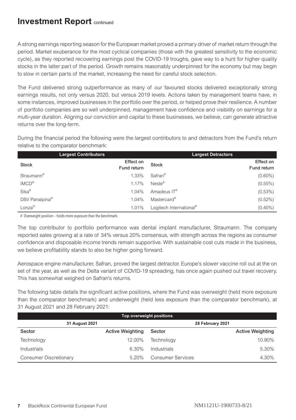## **Investment Report** continued

A strong earnings reporting season for the European market proved a primary driver of market return through the period. Market exuberance for the most cyclical companies (those with the greatest sensitivity to the economic cycle), as they reported recovering earnings post the COVID-19 troughs, gave way to a hunt for higher quality stocks in the latter part of the period. Growth remains reasonably underpinned for the economy but may begin to slow in certain parts of the market, increasing the need for careful stock selection.

The Fund delivered strong outperformance as many of our favoured stocks delivered exceptionally strong earnings results, not only versus 2020, but versus 2019 levels. Actions taken by management teams have, in some instances, improved businesses in the portfolio over the period, or helped prove their resilience. A number of portfolio companies are so well underpinned, management have confidence and visibility on earnings for a multi-year duration. Aligning our conviction and capital to these businesses, we believe, can generate attractive returns over the long-term.

During the financial period the following were the largest contributors to and detractors from the Fund's return relative to the comparator benchmark:

|                        | <b>Largest Contributors</b> |                         | <b>Largest Detractors</b> |
|------------------------|-----------------------------|-------------------------|---------------------------|
| <b>Stock</b>           | Effect on<br>Fund return    | <b>Stock</b>            | Effect on<br>Fund return  |
| Straumann <sup>#</sup> | 1.33%                       | $Safran$ #              | $(0.60\%)$                |
| IMCD <sup>#</sup>      | 1.17%                       | $Neste$ <sup>#</sup>    | $(0.55\%)$                |
| Sika <sup>#</sup>      | 1.04%                       | Amadeus IT <sup>#</sup> | $(0.53\%)$                |
| DSV Panalpina#         | 1.04%                       | Mastercard <sup>#</sup> | $(0.52\%)$                |
| $L$ onza $#$           | 1.01%                       | Logitech International# | $(0.40\%)$                |

# Overweight position - holds more exposure than the benchmark.

The top contributor to portfolio performance was dental implant manufacturer, Straumann. The company reported sales growing at a rate of 34% versus 20% consensus, with strength across the regions as consumer confidence and disposable income trends remain supportive. With sustainable cost cuts made in the business, we believe profitability stands to also be higher going forward.

Aerospace engine manufacturer, Safran, proved the largest detractor. Europe's slower vaccine roll out at the on set of the year, as well as the Delta variant of COVID-19 spreading, has once again pushed out travel recovery. This has somewhat weighed on Safran's returns.

The following table details the significant active positions, where the Fund was overweight (held more exposure than the comparator benchmark) and underweight (held less exposure than the comparator benchmark), at 31 August 2021 and 28 February 2021:

| Top overweight positions |                         |                          |                         |  |
|--------------------------|-------------------------|--------------------------|-------------------------|--|
| 31 August 2021           | 28 February 2021        |                          |                         |  |
| Sector                   | <b>Active Weighting</b> | Sector                   | <b>Active Weighting</b> |  |
| Technology               | 12.00%                  | Technology               | 10.90%                  |  |
| Industrials              | 6.30%                   | Industrials              | 5.30%                   |  |
| Consumer Discretionary   | 520%                    | <b>Consumer Services</b> | 4.30%                   |  |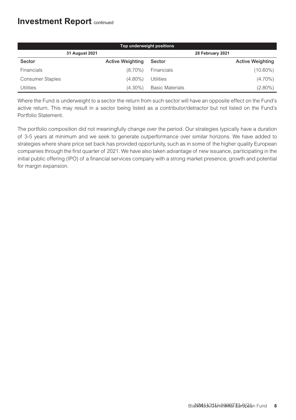## **Investment Report** continued

| Top underweight positions |                         |                        |                         |
|---------------------------|-------------------------|------------------------|-------------------------|
|                           | 31 August 2021          |                        | 28 February 2021        |
| Sector                    | <b>Active Weighting</b> | Sector                 | <b>Active Weighting</b> |
| Financials                | $(8.70\%)$              | Financials             | $(10.60\%)$             |
| Consumer Staples          | $(4.80\%)$              | <b>Utilities</b>       | $(4.70\%)$              |
| Utilities                 | $(4.30\%)$              | <b>Basic Materials</b> | $(2.80\%)$              |

Where the Fund is underweight to a sector the return from such sector will have an opposite effect on the Fund's active return. This may result in a sector being listed as a contributor/detractor but not listed on the Fund's Portfolio Statement.

The portfolio composition did not meaningfully change over the period. Our strategies typically have a duration of 3-5 years at minimum and we seek to generate outperformance over similar horizons. We have added to strategies where share price set back has provided opportunity, such as in some of the higher quality European companies through the first quarter of 2021. We have also taken advantage of new issuance, participating in the initial public offering (IPO) of a financial services company with a strong market presence, growth and potential for margin expansion.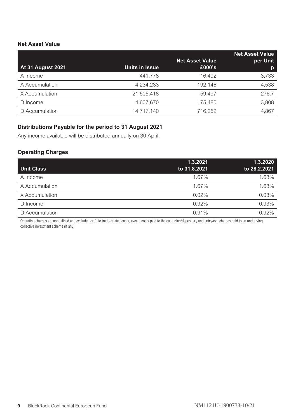#### **Net Asset Value**

|                          |                       |                        | <b>Net Asset Value</b> |
|--------------------------|-----------------------|------------------------|------------------------|
|                          |                       | <b>Net Asset Value</b> | per Unit               |
| <b>At 31 August 2021</b> | <b>Units in Issue</b> | £000's                 | p                      |
| A Income                 | 441.778               | 16.492                 | 3,733                  |
| A Accumulation           | 4.234.233             | 192.146                | 4,538                  |
| X Accumulation           | 21.505.418            | 59.497                 | 276.7                  |
| D Income                 | 4.607.670             | 175.480                | 3.808                  |
| D Accumulation           | 14,717,140            | 716.252                | 4.867                  |

#### **Distributions Payable for the period to 31 August 2021**

Any income available will be distributed annually on 30 April.

#### **Operating Charges**

|                   | 1.3.2021     | 1.3.2020     |
|-------------------|--------------|--------------|
| <b>Unit Class</b> | to 31.8.2021 | to 28.2.2021 |
| A Income          | 1.67%        | 1.68%        |
| A Accumulation    | 1.67%        | 1.68%        |
| X Accumulation    | 0.02%        | 0.03%        |
| D Income          | 0.92%        | 0.93%        |
| D Accumulation    | 0.91%        | 0.92%        |

Operating charges are annualised and exclude portfolio trade-related costs, except costs paid to the custodian/depositary and entry/exit charges paid to an underlying collective investment scheme (if any).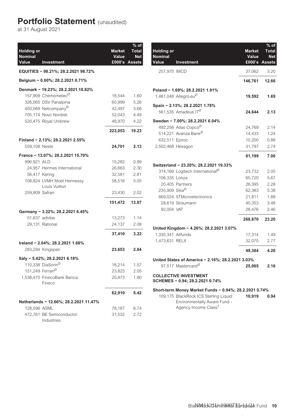## <span id="page-10-0"></span>**Portfolio Statement** (unaudited)

at 31 August 2021

| <b>Holding or</b><br><b>Nominal</b><br>Value | Investment                                  | <b>Market</b><br>Value<br>£000's | $%$ of<br><b>Total</b><br><b>Net</b><br><b>Assets</b> |
|----------------------------------------------|---------------------------------------------|----------------------------------|-------------------------------------------------------|
|                                              | EQUITIES - 98.21%; 28.2.2021 98.72%         |                                  |                                                       |
|                                              | Belgium - 0.00%; 28.2.2021 0.71%            |                                  |                                                       |
|                                              | Denmark - 19.23%; 28.2.2021 18.82%          |                                  |                                                       |
|                                              | 157.909 Chemometec <sup>Ø</sup>             | 18,544                           | 1.60                                                  |
|                                              | 326,065 DSV Panalpina                       | 60.999                           | 5.26                                                  |
|                                              | 450,569 Netcompany <sup>Ø</sup>             | 42,497                           | 3.66                                                  |
|                                              | 705,174 Novo Nordisk                        | 52,043                           | 4.49                                                  |
|                                              | 520,475 Royal Unibrew                       | 48,970                           | 4.22                                                  |
|                                              |                                             | 223.053                          | 19.23                                                 |
|                                              | Finland - 2.13%; 28.2.2021 2.55%            |                                  |                                                       |
| 559,108 Neste                                |                                             | 24,701                           | 2.13                                                  |
|                                              | France - 13.07%; 28.2.2021 15.70%           |                                  |                                                       |
| 996,921 ALD                                  |                                             | 10,282                           | 0.89                                                  |
|                                              | 24,957 Hermes International                 | 26,663                           | 2.30                                                  |
| 56,417 Kering                                |                                             | 32,581                           | 2.81                                                  |
|                                              | 108,824 LVMH Moet Hennessy<br>Louis Vuitton | 58,516                           | 5.05                                                  |
| 259,809 Safran                               |                                             | 23.430                           | 2.02                                                  |
|                                              |                                             | 151,472                          | 13.07                                                 |
|                                              | Germany - 3.22%; 28.2.2021 6.45%            |                                  |                                                       |
| 51,637 adidas                                |                                             | 13,273                           | 1.14                                                  |
| 29,131 Rational                              |                                             | 24,137                           | 2.08                                                  |
|                                              |                                             | 37,410                           | 3.22                                                  |
|                                              | Ireland - 2.04%; 28.2.2021 1.68%            |                                  |                                                       |
| 283,294 Kingspan                             |                                             | 23,653                           | 2.04                                                  |
|                                              | Italy - 5.42%; 28.2.2021 6.18%              |                                  |                                                       |
|                                              | 110.338 DiaSorin <sup>0</sup>               | 18,214                           | 1.57                                                  |
| 151,249 Ferrari <sup>Ø</sup>                 |                                             | 23,823                           | 2.05                                                  |
|                                              | 1.538.470 FinecoBank Banca<br>Fineco        | 20,873                           | 1.80                                                  |
|                                              |                                             | 62,910                           | 5.42                                                  |
|                                              | Netherlands - 12.66%; 28.2.2021 11.47%      |                                  |                                                       |
| 128,596 ASML                                 |                                             | 78,167                           | 6.74                                                  |
|                                              | 472.761 BE Semiconductor                    | 31,532                           | 2.72                                                  |
|                                              | Industries                                  |                                  |                                                       |

| <b>Holding</b> or<br><b>Nominal</b><br>Value | Investment                                                            | <b>Market</b><br>Value | $%$ of<br><b>Total</b><br><b>Net</b><br>£000's Assets |
|----------------------------------------------|-----------------------------------------------------------------------|------------------------|-------------------------------------------------------|
| 257,970 IMCD                                 |                                                                       | 37,062                 | 3.20                                                  |
|                                              |                                                                       | 146,761                | 12.66                                                 |
|                                              | Poland - 1.69%; 28.2.2021 1.91%                                       |                        |                                                       |
|                                              | 1,481,048 Allegro.eu <sup>Ø</sup>                                     | 19,592                 | 1.69                                                  |
|                                              | Spain - 2.13%; 28.2.2021 1.78%                                        |                        |                                                       |
|                                              | 561,535 Amadeus IT <sup>Ø</sup>                                       | 24,644                 | 2.13                                                  |
|                                              | Sweden - 7.00%; 28.2.2021 6.04%                                       |                        |                                                       |
|                                              | 492,256 Atlas Copco <sup>Ø</sup>                                      | 24,769                 | 2.14                                                  |
|                                              | 514.221 Avanza Bank <sup>Ø</sup>                                      | 14.433                 | 1.24                                                  |
| 632,511 Epiroc                               |                                                                       | 10,200                 | 0.88                                                  |
| 2,502,468 Hexagon                            |                                                                       | 31,797                 | 2.74                                                  |
|                                              |                                                                       | 81,199                 | 7.00                                                  |
|                                              | Switzerland - 23.20%; 28.2.2021 19.33%                                |                        |                                                       |
|                                              | 314,169 Logitech International <sup>0</sup>                           | 23,732                 | 2.05                                                  |
| 106,335 Lonza                                |                                                                       | 65,720                 | 5.67                                                  |
|                                              | 20.405 Partners                                                       | 26.395                 | 2.28                                                  |
| 235,909 Sika <sup>Ø</sup>                    |                                                                       | 62,383                 | 5.38                                                  |
|                                              | 669.024 STMicroelectronics                                            | 21,811                 | 1.88                                                  |
|                                              | 28,619 Straumann                                                      | 40.353                 | 3.48                                                  |
| 92,004 VAT                                   |                                                                       | 28,476                 | 2.46                                                  |
|                                              |                                                                       | 268,870                | 23.20                                                 |
|                                              | United Kingdom - 4.26%; 28.2.2021 3.07%                               |                        |                                                       |
| 1,330,341 Allfunds                           |                                                                       | 17,314                 | 1.49                                                  |
| 1,473,631 RELX                               |                                                                       | 32,070                 | 2.77                                                  |
|                                              |                                                                       | 49,384                 | 4.26                                                  |
|                                              | United States of America - 2.16%; 28.2.2021 3.03%                     |                        |                                                       |
|                                              | 97.517 Mastercard <sup>Ø</sup>                                        | 25,005                 | 2.16                                                  |
|                                              | <b>COLLECTIVE INVESTMENT</b><br>SCHEMES - 0.94; 28.2.2021 0.74%       |                        |                                                       |
|                                              | Short-term Money Market Funds - 0.94%; 28.2.2021 0.74%                |                        |                                                       |
|                                              | 109,175 BlackRock ICS Sterling Liquid<br>Environmentally Aware Fund - | 10,919                 | 0.94                                                  |

Agency Income Class†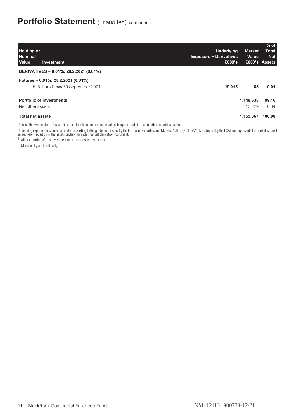| <b>Holding or</b><br><b>Nominal</b><br>Value<br>Investment             | Underlying<br><b>Market</b><br>Value<br><b>Exposure - Derivatives</b><br>£000's | $%$ of<br>Total<br><b>Net</b><br>£000's Assets |
|------------------------------------------------------------------------|---------------------------------------------------------------------------------|------------------------------------------------|
| DERIVATIVES - 0.01%; 28.2.2021 (0.01%)                                 |                                                                                 |                                                |
| Futures - 0.01%; 28.2.2021 (0.01%)<br>528 Euro Stoxx 50 September 2021 | 19.015<br>65                                                                    | 0.01                                           |
| <b>Portfolio of investments</b>                                        | 1,149,638                                                                       | 99.16                                          |
| Net other assets                                                       | 10.229                                                                          | 0.84                                           |
| <b>Total net assets</b>                                                | 1.159.867                                                                       | 100.00                                         |

Unless otherwise stated, all securities are either listed on a recognised exchange or traded on an eligible securities market.

Underlying exposure has been calculated according to the guidelines issued by the European Securities and Markets Authority ("ESMA") (as adopted by the FCA) and represents the market value of<br>an equivalent position in the

 $\alpha$  All or a portion of this investment represents a security on loan.

† Managed by a related party.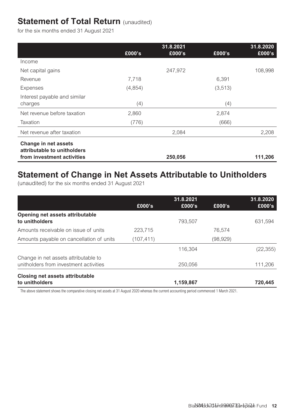## <span id="page-12-0"></span>**Statement of Total Return (unaudited)**

for the six months ended 31 August 2021

|                                                     |          | 31.8.2021 |          | 31.8.2020 |
|-----------------------------------------------------|----------|-----------|----------|-----------|
|                                                     | £000's   | £000's    | £000's   | £000's    |
| Income                                              |          |           |          |           |
| Net capital gains                                   |          | 247,972   |          | 108,998   |
| Revenue                                             | 7,718    |           | 6.391    |           |
| Expenses                                            | (4, 854) |           | (3, 513) |           |
| Interest payable and similar                        |          |           |          |           |
| charges                                             | (4)      |           | (4)      |           |
| Net revenue before taxation                         | 2,860    |           | 2,874    |           |
| Taxation                                            | (776)    |           | (666)    |           |
| Net revenue after taxation                          |          | 2,084     |          | 2,208     |
| Change in net assets<br>attributable to unitholders |          |           |          |           |
| from investment activities                          |          | 250,056   |          | 111,206   |

## **Statement of Change in Net Assets Attributable to Unitholders**

(unaudited) for the six months ended 31 August 2021

|                                                                                | £000's     | 31.8.2021<br>£000's | £000's   | 31.8.2020<br>£000's |
|--------------------------------------------------------------------------------|------------|---------------------|----------|---------------------|
| Opening net assets attributable<br>to unitholders                              |            | 793.507             |          | 631,594             |
| Amounts receivable on issue of units                                           | 223.715    |                     | 76.574   |                     |
| Amounts payable on cancellation of units                                       | (107, 411) |                     | (98,929) |                     |
|                                                                                |            | 116.304             |          | (22, 355)           |
| Change in net assets attributable to<br>unitholders from investment activities |            | 250.056             |          | 111.206             |
| Closing net assets attributable<br>to unitholders                              |            | 1,159,867           |          | 720.445             |

The above statement shows the comparative closing net assets at 31 August 2020 whereas the current accounting period commenced 1 March 2021.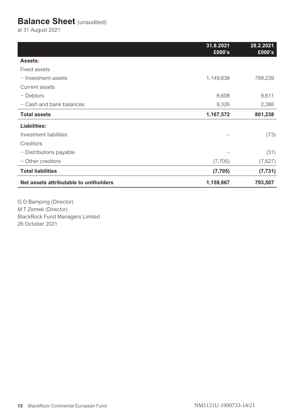## <span id="page-13-0"></span>**Balance Sheet** (unaudited)

at 31 August 2021

|                                        | 31.8.2021<br>£000's | 28.2.2021<br>£000's |
|----------------------------------------|---------------------|---------------------|
| Assets:                                |                     |                     |
| Fixed assets                           |                     |                     |
| $-$ Investment assets                  | 1,149,638           | 789,239             |
| Current assets                         |                     |                     |
| - Debtors                              | 8,608               | 9,611               |
| - Cash and bank balances               | 9,326               | 2,388               |
| <b>Total assets</b>                    | 1,167,572           | 801,238             |
| Liabilities:                           |                     |                     |
| Investment liabilities                 |                     | (73)                |
| Creditors                              |                     |                     |
| - Distributions payable                |                     | (31)                |
| - Other creditors                      | (7, 705)            | (7,627)             |
| <b>Total liabilities</b>               | (7, 705)            | (7, 731)            |
| Net assets attributable to unitholders | 1,159,867           | 793,507             |

G D Bamping (Director) M T Zemek (Director) BlackRock Fund Managers Limited 26 October 2021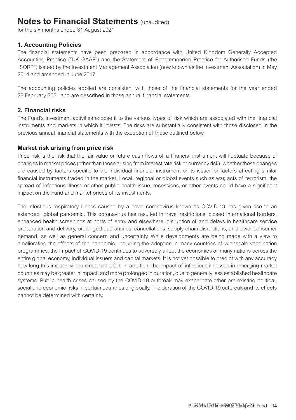## <span id="page-14-0"></span>**Notes to Financial Statements** (unaudited)

for the six months ended 31 August 2021

#### **1. Accounting Policies**

The financial statements have been prepared in accordance with United Kingdom Generally Accepted Accounting Practice ("UK GAAP") and the Statement of Recommended Practice for Authorised Funds (the "SORP") issued by the Investment Management Association (now known as the Investment Association) in May 2014 and amended in June 2017.

The accounting policies applied are consistent with those of the financial statements for the year ended 28 February 2021 and are described in those annual financial statements.

#### **2. Financial risks**

The Fund's investment activities expose it to the various types of risk which are associated with the financial instruments and markets in which it invests. The risks are substantially consistent with those disclosed in the previous annual financial statements with the exception of those outlined below.

#### **Market risk arising from price risk**

Price risk is the risk that the fair value or future cash flows of a financial instrument will fluctuate because of changes in market prices (other than those arising from interest rate risk or currency risk), whether those changes are caused by factors specific to the individual financial instrument or its issuer, or factors affecting similar financial instruments traded in the market. Local, regional or global events such as war, acts of terrorism, the spread of infectious illness or other public health issue, recessions, or other events could have a significant impact on the Fund and market prices of its investments.

The infectious respiratory illness caused by a novel coronavirus known as COVID-19 has given rise to an extended global pandemic. This coronavirus has resulted in travel restrictions, closed international borders, enhanced health screenings at ports of entry and elsewhere, disruption of and delays in healthcare service preparation and delivery, prolonged quarantines, cancellations, supply chain disruptions, and lower consumer demand, as well as general concern and uncertainty. While developments are being made with a view to ameliorating the effects of the pandemic, including the adoption in many countries of widescale vaccination programmes, the impact of COVID-19 continues to adversely affect the economies of many nations across the entire global economy, individual issuers and capital markets. It is not yet possible to predict with any accuracy how long this impact will continue to be felt. In addition, the impact of infectious illnesses in emerging market countries may be greater in impact, and more prolonged in duration, due to generally less established healthcare systems. Public health crises caused by the COVID-19 outbreak may exacerbate other pre-existing political, social and economic risks in certain countries or globally. The duration of the COVID-19 outbreak and its effects cannot be determined with certainty.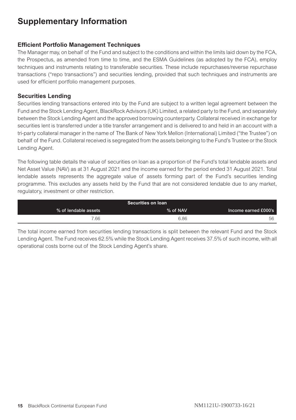## <span id="page-15-0"></span>**Supplementary Information**

#### **Efficient Portfolio Management Techniques**

The Manager may, on behalf of the Fund and subject to the conditions and within the limits laid down by the FCA, the Prospectus, as amended from time to time, and the ESMA Guidelines (as adopted by the FCA), employ techniques and instruments relating to transferable securities. These include repurchases/reverse repurchase transactions ("repo transactions") and securities lending, provided that such techniques and instruments are used for efficient portfolio management purposes.

#### **Securities Lending**

Securities lending transactions entered into by the Fund are subject to a written legal agreement between the Fund and the Stock Lending Agent, BlackRock Advisors (UK) Limited, a related party to the Fund, and separately between the Stock Lending Agent and the approved borrowing counterparty. Collateral received in exchange for securities lent is transferred under a title transfer arrangement and is delivered to and held in an account with a tri-party collateral manager in the name of The Bank of New York Mellon (International) Limited ("the Trustee") on behalf of the Fund. Collateral received is segregated from the assets belonging to the Fund's Trustee or the Stock Lending Agent.

The following table details the value of securities on loan as a proportion of the Fund's total lendable assets and Net Asset Value (NAV) as at 31 August 2021 and the income earned for the period ended 31 August 2021. Total lendable assets represents the aggregate value of assets forming part of the Fund's securities lending programme. This excludes any assets held by the Fund that are not considered lendable due to any market, regulatory, investment or other restriction.

| <b>Securities on loan</b> |          |                      |  |  |
|---------------------------|----------|----------------------|--|--|
| Income earned £000's      | % of NAV | % of lendable assets |  |  |
| 56                        | 6.86     | 7.66                 |  |  |

The total income earned from securities lending transactions is split between the relevant Fund and the Stock Lending Agent. The Fund receives 62.5% while the Stock Lending Agent receives 37.5% of such income, with all operational costs borne out of the Stock Lending Agent's share.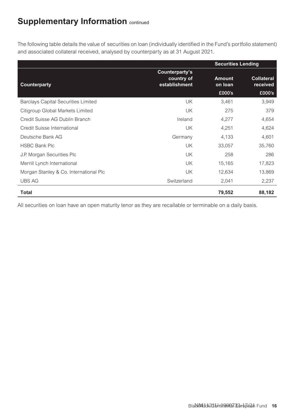The following table details the value of securities on loan (individually identified in the Fund's portfolio statement) and associated collateral received, analysed by counterparty as at 31 August 2021.

|                                            |                                               | <b>Securities Lending</b>          |                                         |  |
|--------------------------------------------|-----------------------------------------------|------------------------------------|-----------------------------------------|--|
| Counterparty                               | Counterparty's<br>country of<br>establishment | <b>Amount</b><br>on loan<br>£000's | <b>Collateral</b><br>received<br>£000's |  |
| <b>Barclays Capital Securities Limited</b> | UK                                            | 3,461                              | 3,949                                   |  |
| Citigroup Global Markets Limited           | UK.                                           | 275                                | 379                                     |  |
| Credit Suisse AG Dublin Branch             | Ireland                                       | 4,277                              | 4,654                                   |  |
| Credit Suisse International                | UK                                            | 4,251                              | 4,624                                   |  |
| Deutsche Bank AG                           | Germany                                       | 4,133                              | 4,601                                   |  |
| <b>HSBC Bank Plc</b>                       | UK                                            | 33,057                             | 35,760                                  |  |
| J.P. Morgan Securities Plc                 | UK.                                           | 258                                | 286                                     |  |
| Merrill Lynch International                | UK                                            | 15.165                             | 17,823                                  |  |
| Morgan Stanley & Co. International Plc     | UK                                            | 12,634                             | 13,869                                  |  |
| <b>UBS AG</b>                              | Switzerland                                   | 2,041                              | 2,237                                   |  |
| Total                                      |                                               | 79,552                             | 88,182                                  |  |

All securities on loan have an open maturity tenor as they are recallable or terminable on a daily basis.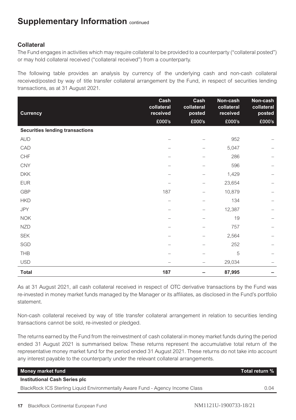#### **Collateral**

The Fund engages in activities which may require collateral to be provided to a counterparty ("collateral posted") or may hold collateral received ("collateral received") from a counterparty.

The following table provides an analysis by currency of the underlying cash and non-cash collateral received/posted by way of title transfer collateral arrangement by the Fund, in respect of securities lending transactions, as at 31 August 2021.

| <b>Currency</b>                        | Cash<br>collateral<br>received | Cash<br>collateral<br>posted | Non-cash<br>collateral<br>received | Non-cash<br>collateral<br>posted |
|----------------------------------------|--------------------------------|------------------------------|------------------------------------|----------------------------------|
|                                        | £000's                         | £000's                       | £000's                             | £000's                           |
| <b>Securities lending transactions</b> |                                |                              |                                    |                                  |
| <b>AUD</b>                             |                                |                              | 952                                |                                  |
| CAD                                    |                                |                              | 5,047                              |                                  |
| CHF                                    |                                |                              | 286                                |                                  |
| <b>CNY</b>                             |                                |                              | 596                                |                                  |
| <b>DKK</b>                             |                                |                              | 1,429                              |                                  |
| <b>EUR</b>                             |                                |                              | 23,654                             |                                  |
| GBP                                    | 187                            |                              | 10,879                             |                                  |
| <b>HKD</b>                             |                                |                              | 134                                |                                  |
| <b>JPY</b>                             |                                |                              | 12,387                             |                                  |
| <b>NOK</b>                             |                                |                              | 19                                 |                                  |
| <b>NZD</b>                             |                                |                              | 757                                |                                  |
| <b>SEK</b>                             |                                |                              | 2,564                              |                                  |
| SGD                                    |                                |                              | 252                                |                                  |
| THB                                    |                                |                              | 5                                  |                                  |
| <b>USD</b>                             |                                |                              | 29,034                             |                                  |
| <b>Total</b>                           | 187                            |                              | 87,995                             |                                  |

As at 31 August 2021, all cash collateral received in respect of OTC derivative transactions by the Fund was re-invested in money market funds managed by the Manager or its affiliates, as disclosed in the Fund's portfolio statement.

Non-cash collateral received by way of title transfer collateral arrangement in relation to securities lending transactions cannot be sold, re-invested or pledged.

The returns earned by the Fund from the reinvestment of cash collateral in money market funds during the period ended 31 August 2021 is summarised below. These returns represent the accumulative total return of the representative money market fund for the period ended 31 August 2021. These returns do not take into account any interest payable to the counterparty under the relevant collateral arrangements.

| Money market fund                                                              | Total return % |
|--------------------------------------------------------------------------------|----------------|
| Institutional Cash Series plc                                                  |                |
| BlackRock ICS Sterling Liquid Environmentally Aware Fund - Agency Income Class | በ በ4           |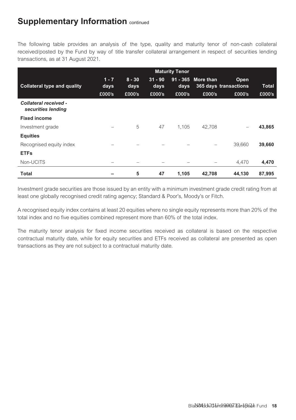The following table provides an analysis of the type, quality and maturity tenor of non-cash collateral received/posted by the Fund by way of title transfer collateral arrangement in respect of securities lending transactions, as at 31 August 2021.

|                                             | <b>Maturity Tenor</b>           |                  |                   |        |                    |                               |              |
|---------------------------------------------|---------------------------------|------------------|-------------------|--------|--------------------|-------------------------------|--------------|
| <b>Collateral type and quality</b>          | $1 - 7$<br>days                 | $8 - 30$<br>days | $31 - 90$<br>days | days   | 91 - 365 More than | Open<br>365 days transactions | <b>Total</b> |
|                                             | £000's                          | £000's           | £000's            | £000's | £000's             | £000's                        | £000's       |
| Collateral received -<br>securities lending |                                 |                  |                   |        |                    |                               |              |
| <b>Fixed income</b>                         |                                 |                  |                   |        |                    |                               |              |
| Investment grade                            | $\hspace{0.1in} \hspace{0.1in}$ | 5                | 47                | 1.105  | 42.708             | $\qquad \qquad =$             | 43,865       |
| <b>Equities</b>                             |                                 |                  |                   |        |                    |                               |              |
| Recognised equity index                     |                                 |                  |                   |        |                    | 39.660                        | 39,660       |
| <b>ETFs</b>                                 |                                 |                  |                   |        |                    |                               |              |
| Non-UCITS                                   |                                 |                  |                   |        |                    | 4,470                         | 4,470        |
| Total                                       |                                 | 5                | 47                | 1,105  | 42,708             | 44,130                        | 87,995       |

Investment grade securities are those issued by an entity with a minimum investment grade credit rating from at least one globally recognised credit rating agency; Standard & Poor's, Moody's or Fitch.

A recognised equity index contains at least 20 equities where no single equity represents more than 20% of the total index and no five equities combined represent more than 60% of the total index.

The maturity tenor analysis for fixed income securities received as collateral is based on the respective contractual maturity date, while for equity securities and ETFs received as collateral are presented as open transactions as they are not subject to a contractual maturity date.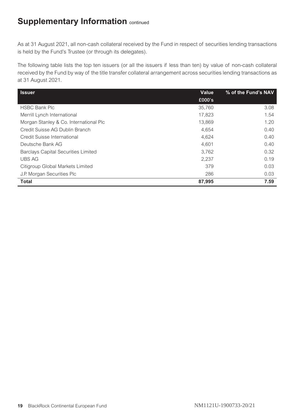As at 31 August 2021, all non-cash collateral received by the Fund in respect of securities lending transactions is held by the Fund's Trustee (or through its delegates).

The following table lists the top ten issuers (or all the issuers if less than ten) by value of non-cash collateral received by the Fund by way of the title transfer collateral arrangement across securities lending transactions as at 31 August 2021.

| <b>Issuer</b>                              | Value  | % of the Fund's NAV |
|--------------------------------------------|--------|---------------------|
|                                            | £000's |                     |
| <b>HSBC Bank Plc</b>                       | 35.760 | 3.08                |
| Merrill Lynch International                | 17.823 | 1.54                |
| Morgan Stanley & Co. International Plc     | 13.869 | 1.20                |
| Credit Suisse AG Dublin Branch             | 4.654  | 0.40                |
| Credit Suisse International                | 4.624  | 0.40                |
| Deutsche Bank AG                           | 4.601  | 0.40                |
| <b>Barclays Capital Securities Limited</b> | 3.762  | 0.32                |
| <b>UBS AG</b>                              | 2.237  | 0.19                |
| Citigroup Global Markets Limited           | 379    | 0.03                |
| J.P. Morgan Securities Plc                 | 286    | 0.03                |
| <b>Total</b>                               | 87,995 | 7.59                |